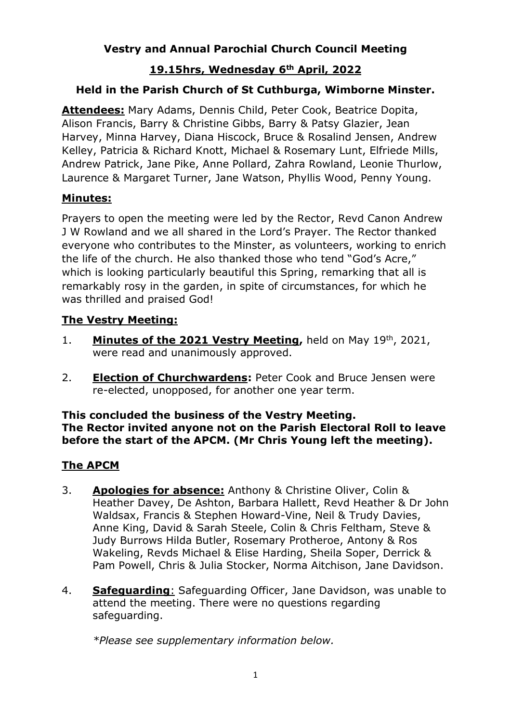# **Vestry and Annual Parochial Church Council Meeting**

# **19.15hrs, Wednesday 6th April, 2022**

# **Held in the Parish Church of St Cuthburga, Wimborne Minster.**

**Attendees:** Mary Adams, Dennis Child, Peter Cook, Beatrice Dopita, Alison Francis, Barry & Christine Gibbs, Barry & Patsy Glazier, Jean Harvey, Minna Harvey, Diana Hiscock, Bruce & Rosalind Jensen, Andrew Kelley, Patricia & Richard Knott, Michael & Rosemary Lunt, Elfriede Mills, Andrew Patrick, Jane Pike, Anne Pollard, Zahra Rowland, Leonie Thurlow, Laurence & Margaret Turner, Jane Watson, Phyllis Wood, Penny Young.

### **Minutes:**

Prayers to open the meeting were led by the Rector, Revd Canon Andrew J W Rowland and we all shared in the Lord's Prayer. The Rector thanked everyone who contributes to the Minster, as volunteers, working to enrich the life of the church. He also thanked those who tend "God's Acre," which is looking particularly beautiful this Spring, remarking that all is remarkably rosy in the garden, in spite of circumstances, for which he was thrilled and praised God!

# **The Vestry Meeting:**

- 1. **Minutes of the 2021 Vestry Meeting,** held on May 19<sup>th</sup>, 2021, were read and unanimously approved.
- 2. **Election of Churchwardens:** Peter Cook and Bruce Jensen were re-elected, unopposed, for another one year term.

#### **This concluded the business of the Vestry Meeting. The Rector invited anyone not on the Parish Electoral Roll to leave before the start of the APCM. (Mr Chris Young left the meeting).**

### **The APCM**

- 3. **Apologies for absence:** Anthony & Christine Oliver, Colin & Heather Davey, De Ashton, Barbara Hallett, Revd Heather & Dr John Waldsax, Francis & Stephen Howard-Vine, Neil & Trudy Davies, Anne King, David & Sarah Steele, Colin & Chris Feltham, Steve & Judy Burrows Hilda Butler, Rosemary Protheroe, Antony & Ros Wakeling, Revds Michael & Elise Harding, Sheila Soper, Derrick & Pam Powell, Chris & Julia Stocker, Norma Aitchison, Jane Davidson.
- 4. **Safeguarding**: Safeguarding Officer, Jane Davidson, was unable to attend the meeting. There were no questions regarding safeguarding.

*\*Please see supplementary information below.*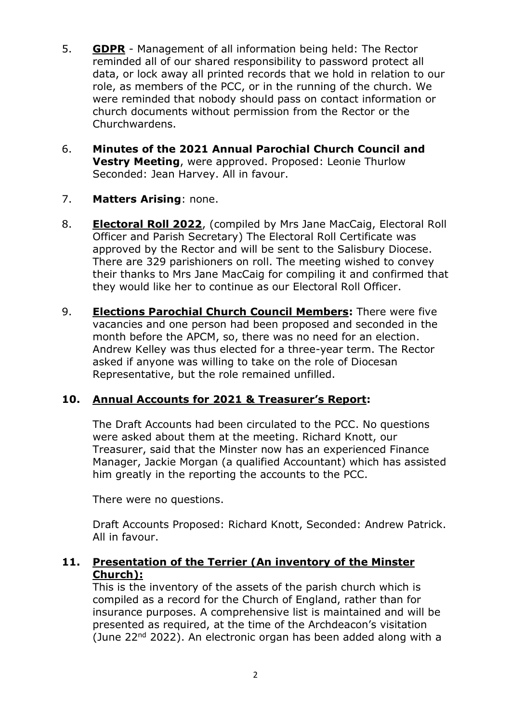- 5. **GDPR** Management of all information being held: The Rector reminded all of our shared responsibility to password protect all data, or lock away all printed records that we hold in relation to our role, as members of the PCC, or in the running of the church. We were reminded that nobody should pass on contact information or church documents without permission from the Rector or the Churchwardens.
- 6. **Minutes of the 2021 Annual Parochial Church Council and Vestry Meeting**, were approved. Proposed: Leonie Thurlow Seconded: Jean Harvey. All in favour.
- 7. **Matters Arising**: none.
- 8. **Electoral Roll 2022**, (compiled by Mrs Jane MacCaig, Electoral Roll Officer and Parish Secretary) The Electoral Roll Certificate was approved by the Rector and will be sent to the Salisbury Diocese. There are 329 parishioners on roll. The meeting wished to convey their thanks to Mrs Jane MacCaig for compiling it and confirmed that they would like her to continue as our Electoral Roll Officer.
- 9. **Elections Parochial Church Council Members:** There were five vacancies and one person had been proposed and seconded in the month before the APCM, so, there was no need for an election. Andrew Kelley was thus elected for a three-year term. The Rector asked if anyone was willing to take on the role of Diocesan Representative, but the role remained unfilled.

# **10. Annual Accounts for 2021 & Treasurer's Report:**

The Draft Accounts had been circulated to the PCC. No questions were asked about them at the meeting. Richard Knott, our Treasurer, said that the Minster now has an experienced Finance Manager, Jackie Morgan (a qualified Accountant) which has assisted him greatly in the reporting the accounts to the PCC.

There were no questions.

Draft Accounts Proposed: Richard Knott, Seconded: Andrew Patrick. All in favour.

### **11. Presentation of the Terrier (An inventory of the Minster Church):**

This is the inventory of the assets of the parish church which is compiled as a record for the Church of England, rather than for insurance purposes. A comprehensive list is maintained and will be presented as required, at the time of the Archdeacon's visitation (June  $22<sup>nd</sup> 2022$ ). An electronic organ has been added along with a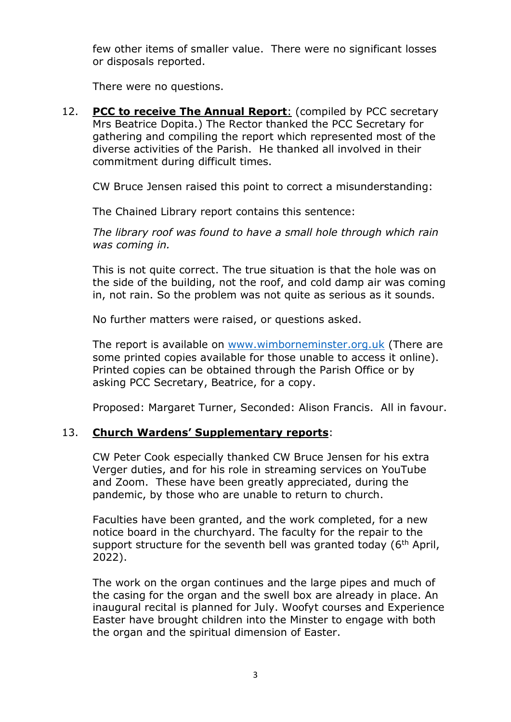few other items of smaller value. There were no significant losses or disposals reported.

There were no questions.

12. **PCC to receive The Annual Report**: (compiled by PCC secretary Mrs Beatrice Dopita.) The Rector thanked the PCC Secretary for gathering and compiling the report which represented most of the diverse activities of the Parish. He thanked all involved in their commitment during difficult times.

CW Bruce Jensen raised this point to correct a misunderstanding:

The Chained Library report contains this sentence:

*The library roof was found to have a small hole through which rain was coming in.*

This is not quite correct. The true situation is that the hole was on the side of the building, not the roof, and cold damp air was coming in, not rain. So the problem was not quite as serious as it sounds.

No further matters were raised, or questions asked.

The report is available on [www.wimborneminster.org.uk](http://www.wimborneminster.org.uk/) (There are some printed copies available for those unable to access it online). Printed copies can be obtained through the Parish Office or by asking PCC Secretary, Beatrice, for a copy.

Proposed: Margaret Turner, Seconded: Alison Francis. All in favour.

### 13. **Church Wardens' Supplementary reports**:

CW Peter Cook especially thanked CW Bruce Jensen for his extra Verger duties, and for his role in streaming services on YouTube and Zoom. These have been greatly appreciated, during the pandemic, by those who are unable to return to church.

Faculties have been granted, and the work completed, for a new notice board in the churchyard. The faculty for the repair to the support structure for the seventh bell was granted today  $(6<sup>th</sup>$  April, 2022).

The work on the organ continues and the large pipes and much of the casing for the organ and the swell box are already in place. An inaugural recital is planned for July. Woofyt courses and Experience Easter have brought children into the Minster to engage with both the organ and the spiritual dimension of Easter.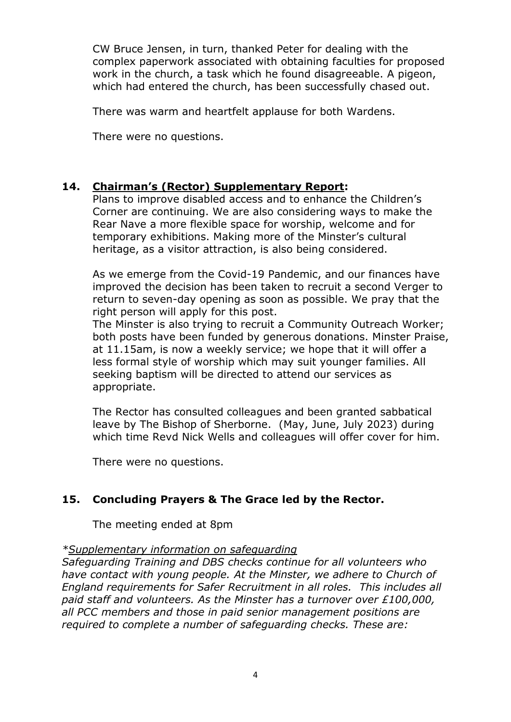CW Bruce Jensen, in turn, thanked Peter for dealing with the complex paperwork associated with obtaining faculties for proposed work in the church, a task which he found disagreeable. A pigeon, which had entered the church, has been successfully chased out.

There was warm and heartfelt applause for both Wardens.

There were no questions.

# **14. Chairman's (Rector) Supplementary Report:**

Plans to improve disabled access and to enhance the Children's Corner are continuing. We are also considering ways to make the Rear Nave a more flexible space for worship, welcome and for temporary exhibitions. Making more of the Minster's cultural heritage, as a visitor attraction, is also being considered.

As we emerge from the Covid-19 Pandemic, and our finances have improved the decision has been taken to recruit a second Verger to return to seven-day opening as soon as possible. We pray that the right person will apply for this post.

The Minster is also trying to recruit a Community Outreach Worker; both posts have been funded by generous donations. Minster Praise, at 11.15am, is now a weekly service; we hope that it will offer a less formal style of worship which may suit younger families. All seeking baptism will be directed to attend our services as appropriate.

The Rector has consulted colleagues and been granted sabbatical leave by The Bishop of Sherborne. (May, June, July 2023) during which time Revd Nick Wells and colleagues will offer cover for him.

There were no questions.

# **15. Concluding Prayers & The Grace led by the Rector.**

The meeting ended at 8pm

### *\*Supplementary information on safeguarding*

*Safeguarding Training and DBS checks continue for all volunteers who have contact with young people. At the Minster, we adhere to Church of England requirements for Safer Recruitment in all roles. This includes all paid staff and volunteers. As the Minster has a turnover over £100,000, all PCC members and those in paid senior management positions are required to complete a number of safeguarding checks. These are:*